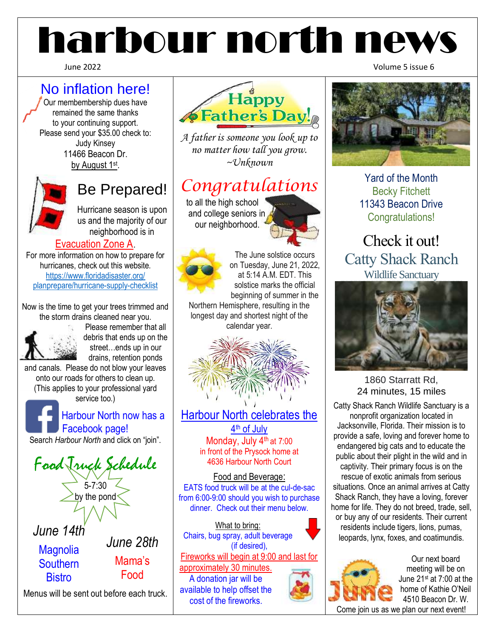# harbour north news

## No inflation here!

Our membembership dues have remained the same thanks to your continuing support. Please send your \$35.00 check to: Judy Kinsey 11466 Beacon Dr. by August 1st.



## Be Prepared!

Hurricane season is upon us and the majority of our neighborhood is in

### Evacuation Zone A.

For more information on how to prepare for hurricanes, check out this website. [https://www.floridadisaster.org/](https://www.floridadisaster.org/%20planprepare/hurricane-supply-checklist)  [planprepare/hurricane-supply-checklist](https://www.floridadisaster.org/%20planprepare/hurricane-supply-checklist)

Now is the time to get your trees trimmed and the storm drains cleaned near you.



Please remember that all debris that ends up on the street…ends up in our drains, retention ponds

and canals. Please do not blow your leaves onto our roads for others to clean up. (This applies to your professional yard service too.)

 Harbour North now has a Facebook page! Search *Harbour North* and click on "join".





*A father is someone you look up to no matter how tall you grow. ~Unknown*

## *Congratulations*

 to all the high school and college seniors in our neighborhood.





The June solstice occurs on Tuesday, June 21, 2022, at 5:14 A.M. EDT. This solstice marks the official beginning of summer in the

Northern Hemisphere, resulting in the longest day and shortest night of the calendar year.



Harbour North celebrates the 4<sup>th</sup> of July Monday, July 4<sup>th</sup> at 7:00 in front of the Prysock home at 4636 Harbour North Court

Food and Beverage: EATS food truck will be at the cul-de-sac from 6:00-9:00 should you wish to purchase dinner. Check out their menu below.

What to bring: Chairs, bug spray, adult beverage (if desired), Fireworks will begin at 9:00 and last for approximately 30 minutes. A donation jar will be available to help offset the cost of the fireworks.

June 2022 Volume 5 issue 6



Yard of the Month Becky Fitchett 11343 Beacon Drive Congratulations!

Check it out! Catty Shack Ranch Wildlife Sanctuary



#### 1860 Starratt Rd, 24 minutes, 15 miles

Catty Shack Ranch Wildlife Sanctuary is a nonprofit organization located in Jacksonville, Florida. Their mission is to provide a safe, loving and forever home to endangered big cats and to educate the public about their plight in the wild and in captivity. Their primary focus is on the rescue of exotic animals from serious situations. Once an animal arrives at Catty Shack Ranch, they have a loving, forever home for life. They do not breed, trade, sell, or buy any of our residents. Their current residents include tigers, lions, pumas, leopards, lynx, foxes, and coatimundis.



Our next board meeting will be on June 21st at 7:00 at the home of Kathie O'Neil 4510 Beacon Dr. W.

Come join us as we plan our next event!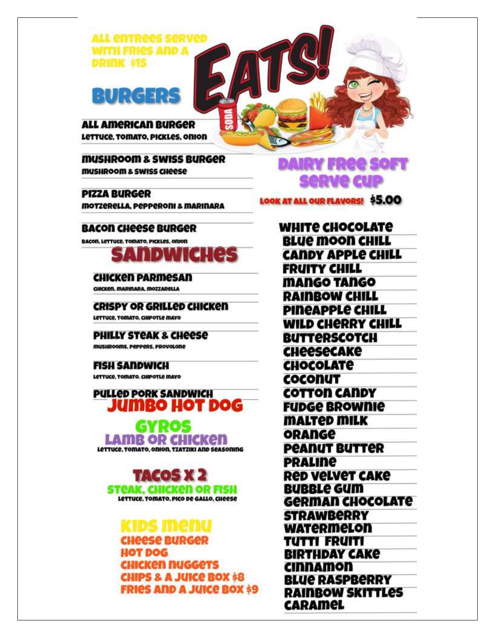

## RURG 129

**ALL AMERICAN BURGER** Lettuce, Tomato, PICKLes, onion

**MUSHROOM & SWISS BURGER MUSHROOM & SWISS CHEESE** 

**PIZZA BURGER MOTZERELLA, PEPPERONI & MARINARA** 

#### **BACON CHEESE BURGER**

BACOR, LETTUCE, TOMATO, PICKLES, ORION



**CHICKEN PARMESAN** CHICKEN, MARINARA, MOZZARELLA

**CRISPY OR GRILLED CHICKED** LETTUCE, TOMATO, CHIPOTLE MAYO

**PHILLY STEAK & CHEESE** musikooms, peppers, provolone

#### **FISH SANDWICH**

LETTUCE, TOMATO, CHIPOTLE MAYO

**PULLED PORK SANDWICH** iumbo hot dog GYROS

LAMB OR CHICKEN LETTUCE, TOMATO, ONION, TZATZIKI AND SEASONING

**INCOS** STeAK, CHICKen OR FISH LETTUCE, TOMATO, PICO DE GALLO, CHEESE

CHeese BURGel **HOT DOG** CHICKen nuggets **CHIPS & A JUICE BOX \$8 FRIES AND A JUICE BOX 59**  DAIRY FREE SOFT sepve cup

LOOK AT ALL OUR FLAVORS! \$5.00

WHITE CHOCOLATE **BLUE MOON CHILL CANDY APPLE CHILL FRUITY CHILL** MANGO TANGO **RAINBOW CHILL PINEAPPLE CHILL WILD CHERRY CHILL BUTTERSCOTCH CHeeseCAKe CHOCOLATE** COCONUT **COTTON CANDY FUDGE BROWNIE MALTED MILK ORANGE PEANUT BUTTER PRALINE** Red Velvet CAKe **BUBBLe GUM German CHOCOLATE STRAWBERRY WATERMELON** TUTTI FRUITI **BIRTHDAY CAKE** *CINNAMON* **BLUE RASPBERRY RAINBOW SKITTLES** CARAMEL